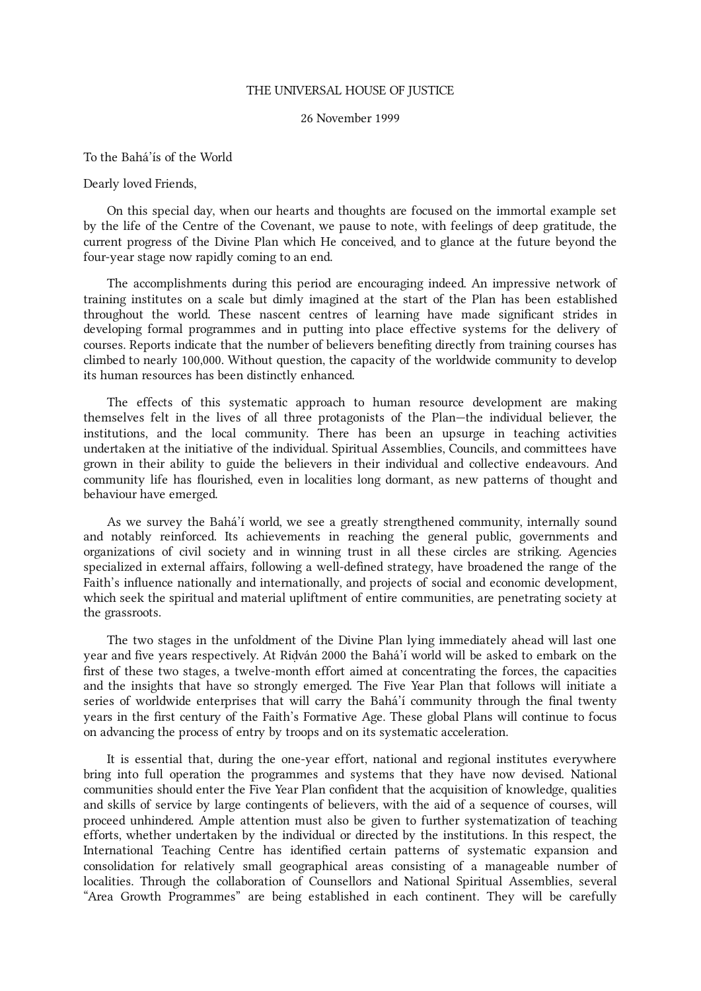## THE UNIVERSAL HOUSE OF JUSTICE

## 26 November 1999

To the Bahá'ís of the World

Dearly loved Friends,

On this special day, when our hearts and thoughts are focused on the immortal example set by the life of the Centre of the Covenant, we pause to note, with feelings of deep gratitude, the current progress of the Divine Plan which He conceived, and to glance at the future beyond the four-year stage now rapidly coming to an end.

The accomplishments during this period are encouraging indeed. An impressive network of training institutes on a scale but dimly imagined at the start of the Plan has been established throughout the world. These nascent centres of learning have made significant strides in developing formal programmes and in putting into place effective systems for the delivery of courses. Reports indicate that the number of believers benefiting directly from training courses has climbed to nearly 100,000. Without question, the capacity of the worldwide community to develop its human resources has been distinctly enhanced.

The effects of this systematic approach to human resource development are making themselves felt in the lives of all three protagonists of the Plan—the individual believer, the institutions, and the local community. There has been an upsurge in teaching activities undertaken at the initiative of the individual. Spiritual Assemblies, Councils, and committees have grown in their ability to guide the believers in their individual and collective endeavours. And community life has flourished, even in localities long dormant, as new patterns of thought and behaviour have emerged.

As we survey the Bahá'í world, we see a greatly strengthened community, internally sound and notably reinforced. Its achievements in reaching the general public, governments and organizations of civil society and in winning trust in all these circles are striking. Agencies specialized in external affairs, following a well-defined strategy, have broadened the range of the Faith's influence nationally and internationally, and projects of social and economic development, which seek the spiritual and material upliftment of entire communities, are penetrating society at the grassroots.

The two stages in the unfoldment of the Divine Plan lying immediately ahead will last one year and five years respectively. At Riḍván 2000 the Bahá'í world will be asked to embark on the first of these two stages, a twelve-month effort aimed at concentrating the forces, the capacities and the insights that have so strongly emerged. The Five Year Plan that follows will initiate a series of worldwide enterprises that will carry the Bahá'í community through the final twenty years in the first century of the Faith's Formative Age. These global Plans will continue to focus on advancing the process of entry by troops and on its systematic acceleration.

It is essential that, during the one-year effort, national and regional institutes everywhere bring into full operation the programmes and systems that they have now devised. National communities should enter the Five Year Plan confident that the acquisition of knowledge, qualities and skills of service by large contingents of believers, with the aid of a sequence of courses, will proceed unhindered. Ample attention must also be given to further systematization of teaching efforts, whether undertaken by the individual or directed by the institutions. In this respect, the International Teaching Centre has identified certain patterns of systematic expansion and consolidation for relatively small geographical areas consisting of a manageable number of localities. Through the collaboration of Counsellors and National Spiritual Assemblies, several "Area Growth Programmes" are being established in each continent. They will be carefully